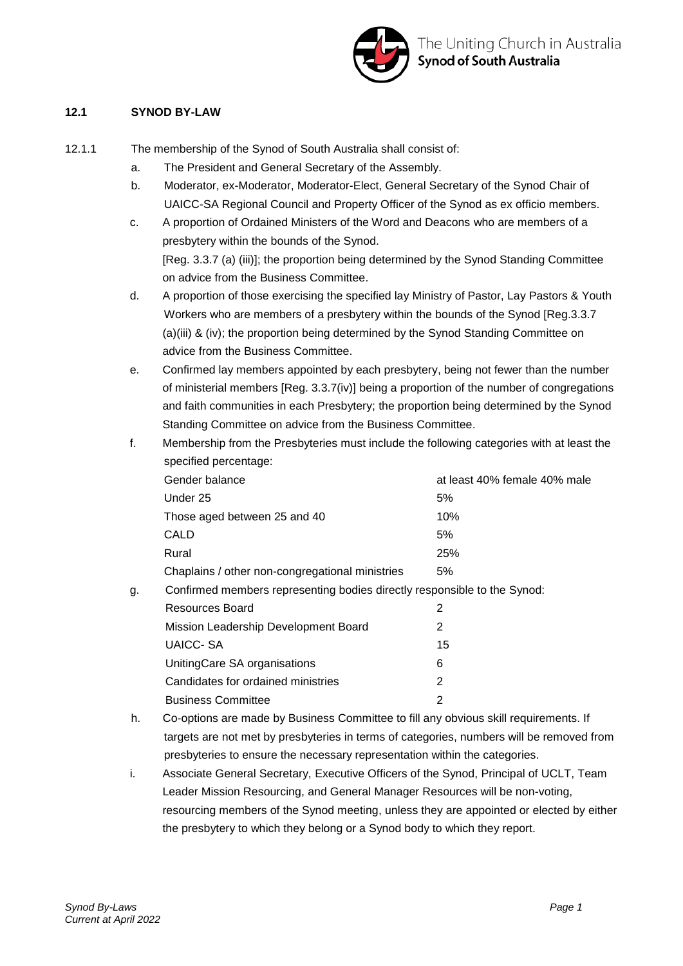

#### **12.1 SYNOD BY-LAW**

- 12.1.1 The membership of the Synod of South Australia shall consist of:
	- a. The President and General Secretary of the Assembly.
	- b. Moderator, ex-Moderator, Moderator-Elect, General Secretary of the Synod Chair of UAICC-SA Regional Council and Property Officer of the Synod as ex officio members.
	- c. A proportion of Ordained Ministers of the Word and Deacons who are members of a presbytery within the bounds of the Synod. [Reg. 3.3.7 (a) (iii)]; the proportion being determined by the Synod Standing Committee on advice from the Business Committee.
	- d. A proportion of those exercising the specified lay Ministry of Pastor, Lay Pastors & Youth Workers who are members of a presbytery within the bounds of the Synod [Reg.3.3.7 (a)(iii) & (iv); the proportion being determined by the Synod Standing Committee on advice from the Business Committee.
	- e. Confirmed lay members appointed by each presbytery, being not fewer than the number of ministerial members [Reg. 3.3.7(iv)] being a proportion of the number of congregations and faith communities in each Presbytery; the proportion being determined by the Synod Standing Committee on advice from the Business Committee.
	- f. Membership from the Presbyteries must include the following categories with at least the specified percentage: Gender balance at least 40% female 40% male

| <b>OBITUBL DATATICE</b>                         | di idasi 40% idilidlo 40% ilidid |
|-------------------------------------------------|----------------------------------|
| Under 25                                        | 5%                               |
| Those aged between 25 and 40                    | 10%                              |
| CALD                                            | 5%                               |
| Rural                                           | 25%                              |
| Chaplains / other non-congregational ministries | 5%                               |
|                                                 |                                  |

g. Confirmed members representing bodies directly responsible to the Synod:

| Resources Board                      |    |
|--------------------------------------|----|
| Mission Leadership Development Board | 2  |
| UAICC- SA                            | 15 |
| UnitingCare SA organisations         | 6  |
| Candidates for ordained ministries   | 2  |
| <b>Business Committee</b>            |    |

- h. Co-options are made by Business Committee to fill any obvious skill requirements. If targets are not met by presbyteries in terms of categories, numbers will be removed from presbyteries to ensure the necessary representation within the categories.
- i. Associate General Secretary, Executive Officers of the Synod, Principal of UCLT, Team Leader Mission Resourcing, and General Manager Resources will be non-voting, resourcing members of the Synod meeting, unless they are appointed or elected by either the presbytery to which they belong or a Synod body to which they report.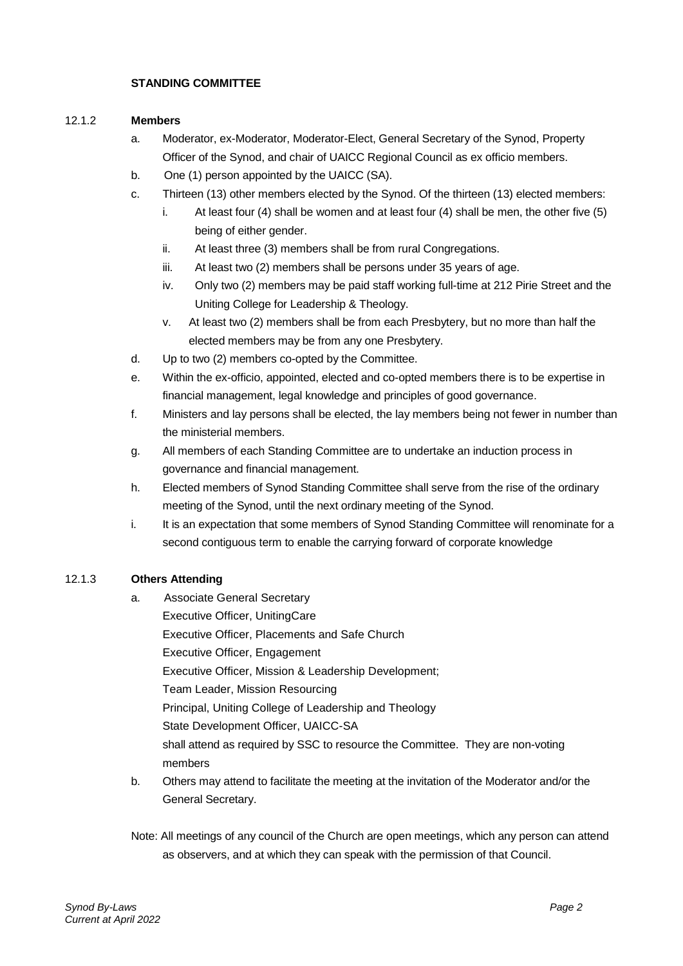#### **STANDING COMMITTEE**

#### 12.1.2 **Members**

- a. Moderator, ex-Moderator, Moderator-Elect, General Secretary of the Synod, Property Officer of the Synod, and chair of UAICC Regional Council as ex officio members.
- b. One (1) person appointed by the UAICC (SA).
- c. Thirteen (13) other members elected by the Synod. Of the thirteen (13) elected members:
	- i. At least four (4) shall be women and at least four (4) shall be men, the other five (5) being of either gender.
	- ii. At least three (3) members shall be from rural Congregations.
	- iii. At least two (2) members shall be persons under 35 years of age.
	- iv. Only two (2) members may be paid staff working full-time at 212 Pirie Street and the Uniting College for Leadership & Theology.
	- v. At least two (2) members shall be from each Presbytery, but no more than half the elected members may be from any one Presbytery.
- d. Up to two (2) members co-opted by the Committee.
- e. Within the ex-officio, appointed, elected and co-opted members there is to be expertise in financial management, legal knowledge and principles of good governance.
- f. Ministers and lay persons shall be elected, the lay members being not fewer in number than the ministerial members.
- g. All members of each Standing Committee are to undertake an induction process in governance and financial management.
- h. Elected members of Synod Standing Committee shall serve from the rise of the ordinary meeting of the Synod, until the next ordinary meeting of the Synod.
- i. It is an expectation that some members of Synod Standing Committee will renominate for a second contiguous term to enable the carrying forward of corporate knowledge

#### 12.1.3 **Others Attending**

- a. Associate General Secretary Executive Officer, UnitingCare Executive Officer, Placements and Safe Church Executive Officer, Engagement Executive Officer, Mission & Leadership Development; Team Leader, Mission Resourcing Principal, Uniting College of Leadership and Theology State Development Officer, UAICC-SA shall attend as required by SSC to resource the Committee. They are non-voting members
- b. Others may attend to facilitate the meeting at the invitation of the Moderator and/or the General Secretary.
- Note: All meetings of any council of the Church are open meetings, which any person can attend as observers, and at which they can speak with the permission of that Council.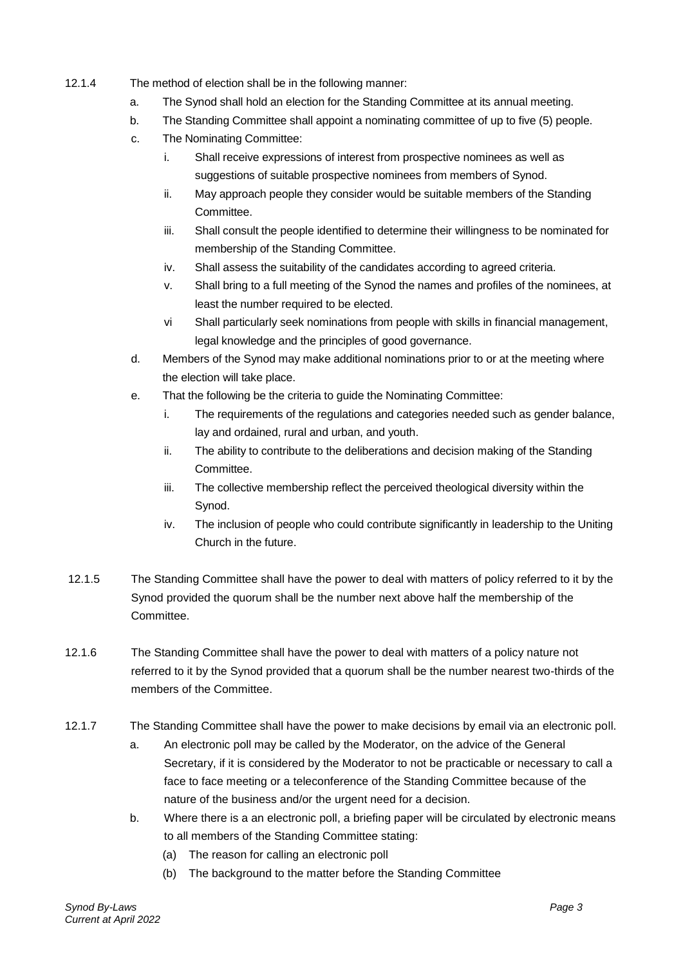- 12.1.4 The method of election shall be in the following manner:
	- a. The Synod shall hold an election for the Standing Committee at its annual meeting.
	- b. The Standing Committee shall appoint a nominating committee of up to five (5) people.
	- c. The Nominating Committee:
		- i. Shall receive expressions of interest from prospective nominees as well as suggestions of suitable prospective nominees from members of Synod.
		- ii. May approach people they consider would be suitable members of the Standing Committee.
		- iii. Shall consult the people identified to determine their willingness to be nominated for membership of the Standing Committee.
		- iv. Shall assess the suitability of the candidates according to agreed criteria.
		- v. Shall bring to a full meeting of the Synod the names and profiles of the nominees, at least the number required to be elected.
		- vi Shall particularly seek nominations from people with skills in financial management, legal knowledge and the principles of good governance.
	- d. Members of the Synod may make additional nominations prior to or at the meeting where the election will take place.
	- e. That the following be the criteria to guide the Nominating Committee:
		- i. The requirements of the regulations and categories needed such as gender balance, lay and ordained, rural and urban, and youth.
		- ii. The ability to contribute to the deliberations and decision making of the Standing Committee.
		- iii. The collective membership reflect the perceived theological diversity within the Synod.
		- iv. The inclusion of people who could contribute significantly in leadership to the Uniting Church in the future.
- 12.1.5 The Standing Committee shall have the power to deal with matters of policy referred to it by the Synod provided the quorum shall be the number next above half the membership of the Committee.
- 12.1.6 The Standing Committee shall have the power to deal with matters of a policy nature not referred to it by the Synod provided that a quorum shall be the number nearest two-thirds of the members of the Committee.
- 12.1.7 The Standing Committee shall have the power to make decisions by email via an electronic poll.
	- a. An electronic poll may be called by the Moderator, on the advice of the General Secretary, if it is considered by the Moderator to not be practicable or necessary to call a face to face meeting or a teleconference of the Standing Committee because of the nature of the business and/or the urgent need for a decision.
	- b. Where there is a an electronic poll, a briefing paper will be circulated by electronic means to all members of the Standing Committee stating:
		- (a) The reason for calling an electronic poll
		- (b) The background to the matter before the Standing Committee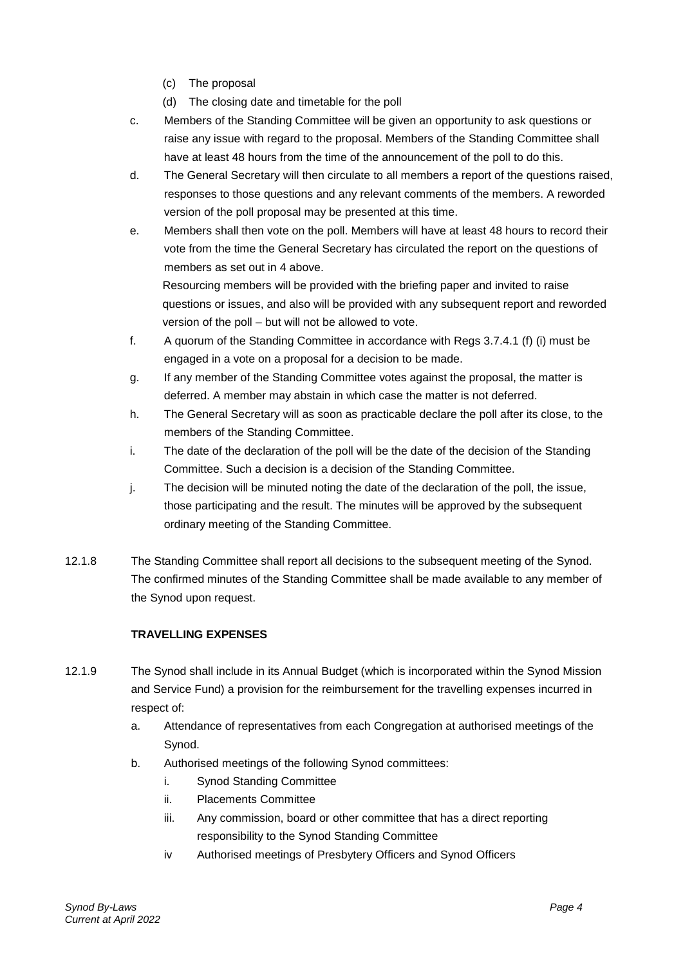- (c) The proposal
- (d) The closing date and timetable for the poll
- c. Members of the Standing Committee will be given an opportunity to ask questions or raise any issue with regard to the proposal. Members of the Standing Committee shall have at least 48 hours from the time of the announcement of the poll to do this.
- d. The General Secretary will then circulate to all members a report of the questions raised, responses to those questions and any relevant comments of the members. A reworded version of the poll proposal may be presented at this time.
- e. Members shall then vote on the poll. Members will have at least 48 hours to record their vote from the time the General Secretary has circulated the report on the questions of members as set out in 4 above.

Resourcing members will be provided with the briefing paper and invited to raise questions or issues, and also will be provided with any subsequent report and reworded version of the poll – but will not be allowed to vote.

- f. A quorum of the Standing Committee in accordance with Regs 3.7.4.1 (f) (i) must be engaged in a vote on a proposal for a decision to be made.
- g. If any member of the Standing Committee votes against the proposal, the matter is deferred. A member may abstain in which case the matter is not deferred.
- h. The General Secretary will as soon as practicable declare the poll after its close, to the members of the Standing Committee.
- i. The date of the declaration of the poll will be the date of the decision of the Standing Committee. Such a decision is a decision of the Standing Committee.
- j. The decision will be minuted noting the date of the declaration of the poll, the issue, those participating and the result. The minutes will be approved by the subsequent ordinary meeting of the Standing Committee.
- 12.1.8 The Standing Committee shall report all decisions to the subsequent meeting of the Synod. The confirmed minutes of the Standing Committee shall be made available to any member of the Synod upon request.

## **TRAVELLING EXPENSES**

- 12.1.9 The Synod shall include in its Annual Budget (which is incorporated within the Synod Mission and Service Fund) a provision for the reimbursement for the travelling expenses incurred in respect of:
	- a. Attendance of representatives from each Congregation at authorised meetings of the Synod.
	- b. Authorised meetings of the following Synod committees:
		- i. Synod Standing Committee
		- ii. Placements Committee
		- iii. Any commission, board or other committee that has a direct reporting responsibility to the Synod Standing Committee
		- iv Authorised meetings of Presbytery Officers and Synod Officers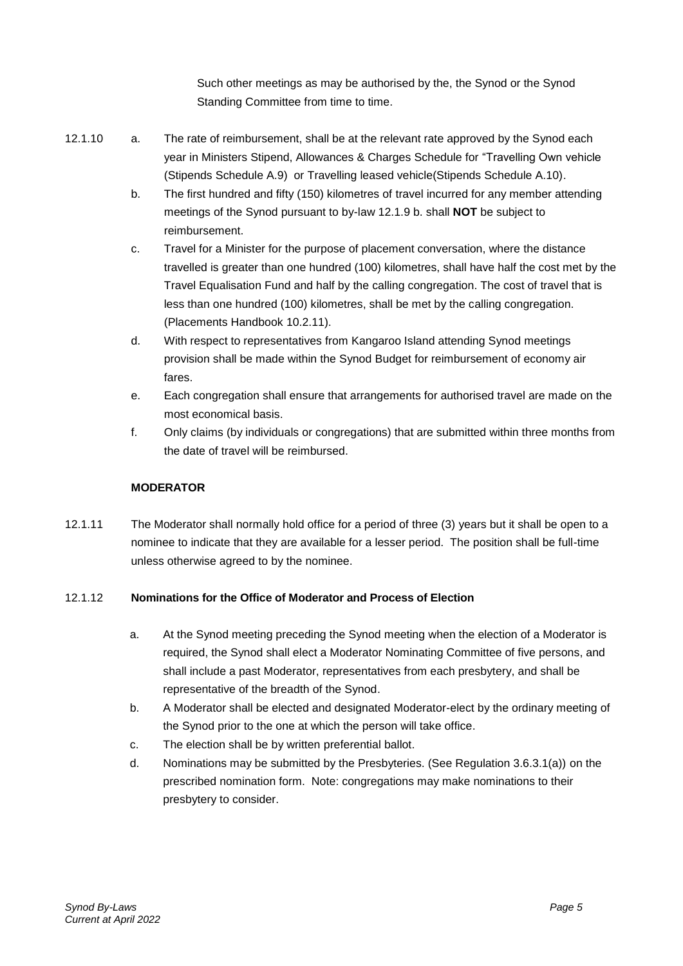Such other meetings as may be authorised by the, the Synod or the Synod Standing Committee from time to time.

- 12.1.10 a. The rate of reimbursement, shall be at the relevant rate approved by the Synod each year in Ministers Stipend, Allowances & Charges Schedule for "Travelling Own vehicle (Stipends Schedule A.9) or Travelling leased vehicle(Stipends Schedule A.10).
	- b. The first hundred and fifty (150) kilometres of travel incurred for any member attending meetings of the Synod pursuant to by-law 12.1.9 b. shall **NOT** be subject to reimbursement.
	- c. Travel for a Minister for the purpose of placement conversation, where the distance travelled is greater than one hundred (100) kilometres, shall have half the cost met by the Travel Equalisation Fund and half by the calling congregation. The cost of travel that is less than one hundred (100) kilometres, shall be met by the calling congregation. (Placements Handbook 10.2.11).
	- d. With respect to representatives from Kangaroo Island attending Synod meetings provision shall be made within the Synod Budget for reimbursement of economy air fares.
	- e. Each congregation shall ensure that arrangements for authorised travel are made on the most economical basis.
	- f. Only claims (by individuals or congregations) that are submitted within three months from the date of travel will be reimbursed.

## **MODERATOR**

12.1.11 The Moderator shall normally hold office for a period of three (3) years but it shall be open to a nominee to indicate that they are available for a lesser period. The position shall be full-time unless otherwise agreed to by the nominee.

## 12.1.12 **Nominations for the Office of Moderator and Process of Election**

- a. At the Synod meeting preceding the Synod meeting when the election of a Moderator is required, the Synod shall elect a Moderator Nominating Committee of five persons, and shall include a past Moderator, representatives from each presbytery, and shall be representative of the breadth of the Synod.
- b. A Moderator shall be elected and designated Moderator-elect by the ordinary meeting of the Synod prior to the one at which the person will take office.
- c. The election shall be by written preferential ballot.
- d. Nominations may be submitted by the Presbyteries. (See Regulation 3.6.3.1(a)) on the prescribed nomination form. Note: congregations may make nominations to their presbytery to consider.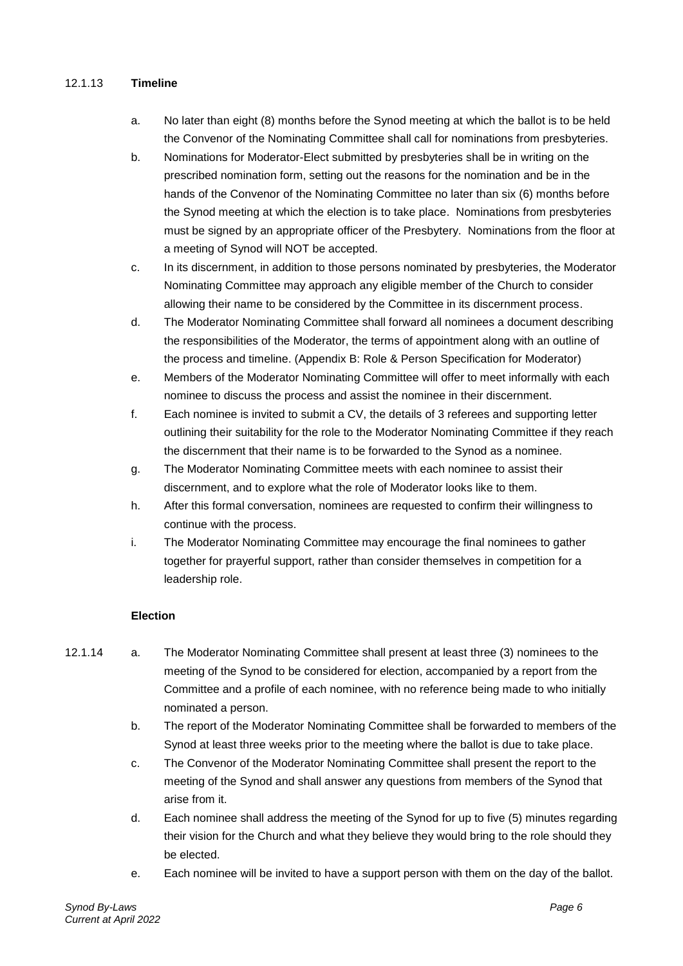#### 12.1.13 **Timeline**

- a. No later than eight (8) months before the Synod meeting at which the ballot is to be held the Convenor of the Nominating Committee shall call for nominations from presbyteries.
- b. Nominations for Moderator-Elect submitted by presbyteries shall be in writing on the prescribed nomination form, setting out the reasons for the nomination and be in the hands of the Convenor of the Nominating Committee no later than six (6) months before the Synod meeting at which the election is to take place. Nominations from presbyteries must be signed by an appropriate officer of the Presbytery. Nominations from the floor at a meeting of Synod will NOT be accepted.
- c. In its discernment, in addition to those persons nominated by presbyteries, the Moderator Nominating Committee may approach any eligible member of the Church to consider allowing their name to be considered by the Committee in its discernment process.
- d. The Moderator Nominating Committee shall forward all nominees a document describing the responsibilities of the Moderator, the terms of appointment along with an outline of the process and timeline. (Appendix B: Role & Person Specification for Moderator)
- e. Members of the Moderator Nominating Committee will offer to meet informally with each nominee to discuss the process and assist the nominee in their discernment.
- f. Each nominee is invited to submit a CV, the details of 3 referees and supporting letter outlining their suitability for the role to the Moderator Nominating Committee if they reach the discernment that their name is to be forwarded to the Synod as a nominee.
- g. The Moderator Nominating Committee meets with each nominee to assist their discernment, and to explore what the role of Moderator looks like to them.
- h. After this formal conversation, nominees are requested to confirm their willingness to continue with the process.
- i. The Moderator Nominating Committee may encourage the final nominees to gather together for prayerful support, rather than consider themselves in competition for a leadership role.

#### **Election**

- 12.1.14 a. The Moderator Nominating Committee shall present at least three (3) nominees to the meeting of the Synod to be considered for election, accompanied by a report from the Committee and a profile of each nominee, with no reference being made to who initially nominated a person.
	- b. The report of the Moderator Nominating Committee shall be forwarded to members of the Synod at least three weeks prior to the meeting where the ballot is due to take place.
	- c. The Convenor of the Moderator Nominating Committee shall present the report to the meeting of the Synod and shall answer any questions from members of the Synod that arise from it.
	- d. Each nominee shall address the meeting of the Synod for up to five (5) minutes regarding their vision for the Church and what they believe they would bring to the role should they be elected.
	- e. Each nominee will be invited to have a support person with them on the day of the ballot.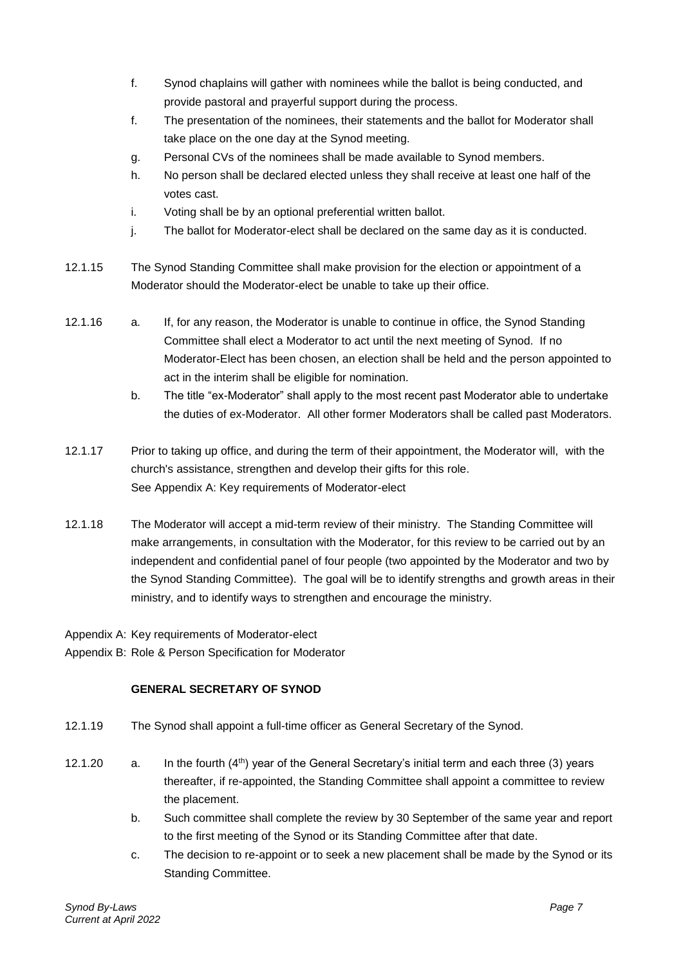- f. Synod chaplains will gather with nominees while the ballot is being conducted, and provide pastoral and prayerful support during the process.
- f. The presentation of the nominees, their statements and the ballot for Moderator shall take place on the one day at the Synod meeting.
- g. Personal CVs of the nominees shall be made available to Synod members.
- h. No person shall be declared elected unless they shall receive at least one half of the votes cast.
- i. Voting shall be by an optional preferential written ballot.
- j. The ballot for Moderator-elect shall be declared on the same day as it is conducted.
- 12.1.15 The Synod Standing Committee shall make provision for the election or appointment of a Moderator should the Moderator-elect be unable to take up their office.
- 12.1.16 a. If, for any reason, the Moderator is unable to continue in office, the Synod Standing Committee shall elect a Moderator to act until the next meeting of Synod. If no Moderator-Elect has been chosen, an election shall be held and the person appointed to act in the interim shall be eligible for nomination.
	- b. The title "ex-Moderator" shall apply to the most recent past Moderator able to undertake the duties of ex-Moderator. All other former Moderators shall be called past Moderators.
- 12.1.17 Prior to taking up office, and during the term of their appointment, the Moderator will, with the church's assistance, strengthen and develop their gifts for this role. See Appendix A: Key requirements of Moderator-elect
- 12.1.18 The Moderator will accept a mid-term review of their ministry. The Standing Committee will make arrangements, in consultation with the Moderator, for this review to be carried out by an independent and confidential panel of four people (two appointed by the Moderator and two by the Synod Standing Committee). The goal will be to identify strengths and growth areas in their ministry, and to identify ways to strengthen and encourage the ministry.
- Appendix A: Key requirements of Moderator-elect
- Appendix B: Role & Person Specification for Moderator

#### **GENERAL SECRETARY OF SYNOD**

- 12.1.19 The Synod shall appoint a full-time officer as General Secretary of the Synod.
- 12.1.20 a. In the fourth (4<sup>th</sup>) year of the General Secretary's initial term and each three (3) years thereafter, if re-appointed, the Standing Committee shall appoint a committee to review the placement.
	- b. Such committee shall complete the review by 30 September of the same year and report to the first meeting of the Synod or its Standing Committee after that date.
	- c. The decision to re-appoint or to seek a new placement shall be made by the Synod or its Standing Committee.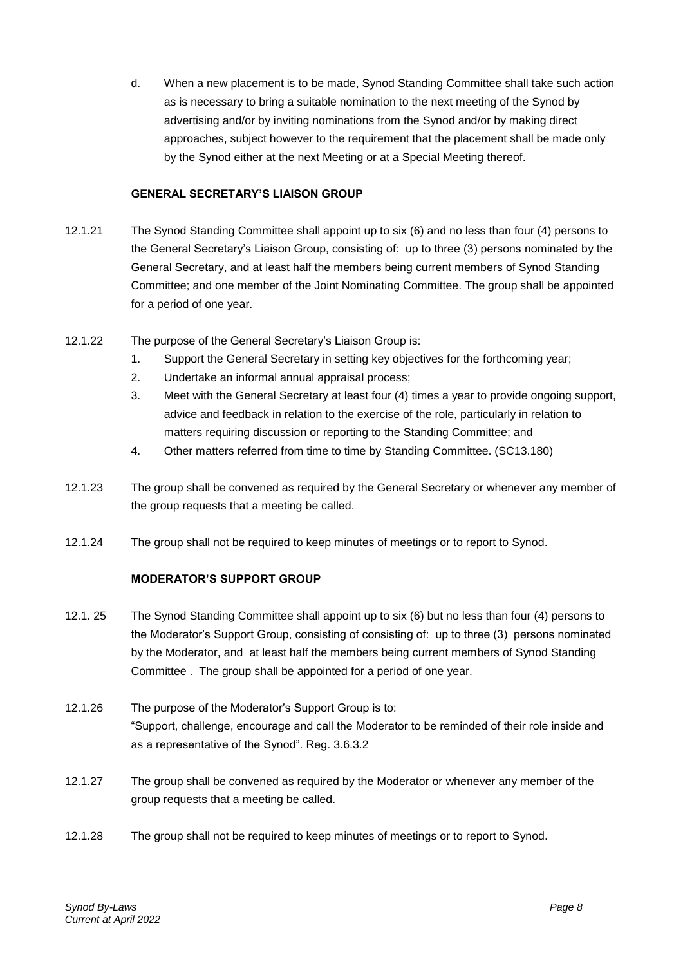d. When a new placement is to be made, Synod Standing Committee shall take such action as is necessary to bring a suitable nomination to the next meeting of the Synod by advertising and/or by inviting nominations from the Synod and/or by making direct approaches, subject however to the requirement that the placement shall be made only by the Synod either at the next Meeting or at a Special Meeting thereof.

#### **GENERAL SECRETARY'S LIAISON GROUP**

- 12.1.21 The Synod Standing Committee shall appoint up to six (6) and no less than four (4) persons to the General Secretary's Liaison Group, consisting of: up to three (3) persons nominated by the General Secretary, and at least half the members being current members of Synod Standing Committee; and one member of the Joint Nominating Committee. The group shall be appointed for a period of one year.
- 12.1.22 The purpose of the General Secretary's Liaison Group is:
	- 1. Support the General Secretary in setting key objectives for the forthcoming year;
		- 2. Undertake an informal annual appraisal process;
		- 3. Meet with the General Secretary at least four (4) times a year to provide ongoing support, advice and feedback in relation to the exercise of the role, particularly in relation to matters requiring discussion or reporting to the Standing Committee; and
		- 4. Other matters referred from time to time by Standing Committee. (SC13.180)
- 12.1.23 The group shall be convened as required by the General Secretary or whenever any member of the group requests that a meeting be called.
- 12.1.24 The group shall not be required to keep minutes of meetings or to report to Synod.

## **MODERATOR'S SUPPORT GROUP**

- 12.1. 25 The Synod Standing Committee shall appoint up to six (6) but no less than four (4) persons to the Moderator's Support Group, consisting of consisting of: up to three (3) persons nominated by the Moderator, and at least half the members being current members of Synod Standing Committee . The group shall be appointed for a period of one year.
- 12.1.26 The purpose of the Moderator's Support Group is to: "Support, challenge, encourage and call the Moderator to be reminded of their role inside and as a representative of the Synod". Reg. 3.6.3.2
- 12.1.27 The group shall be convened as required by the Moderator or whenever any member of the group requests that a meeting be called.
- 12.1.28 The group shall not be required to keep minutes of meetings or to report to Synod.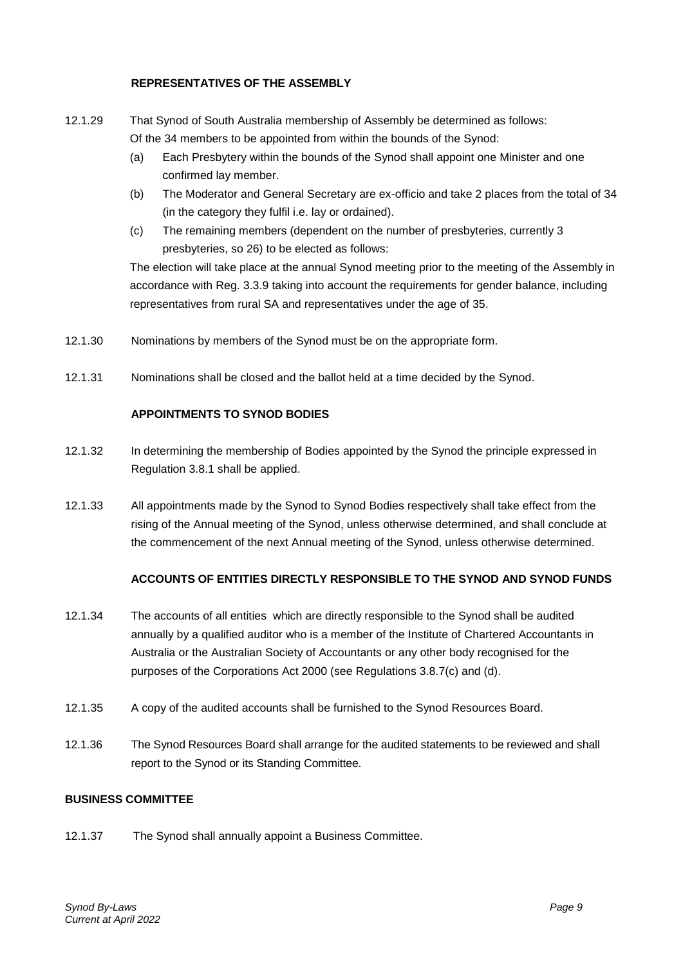#### **REPRESENTATIVES OF THE ASSEMBLY**

- 12.1.29 That Synod of South Australia membership of Assembly be determined as follows: Of the 34 members to be appointed from within the bounds of the Synod:
	- (a) Each Presbytery within the bounds of the Synod shall appoint one Minister and one confirmed lay member.
	- (b) The Moderator and General Secretary are ex-officio and take 2 places from the total of 34 (in the category they fulfil i.e. lay or ordained).
	- (c) The remaining members (dependent on the number of presbyteries, currently 3 presbyteries, so 26) to be elected as follows:

The election will take place at the annual Synod meeting prior to the meeting of the Assembly in accordance with Reg. 3.3.9 taking into account the requirements for gender balance, including representatives from rural SA and representatives under the age of 35.

- 12.1.30 Nominations by members of the Synod must be on the appropriate form.
- 12.1.31 Nominations shall be closed and the ballot held at a time decided by the Synod.

#### **APPOINTMENTS TO SYNOD BODIES**

- 12.1.32 In determining the membership of Bodies appointed by the Synod the principle expressed in Regulation 3.8.1 shall be applied.
- 12.1.33 All appointments made by the Synod to Synod Bodies respectively shall take effect from the rising of the Annual meeting of the Synod, unless otherwise determined, and shall conclude at the commencement of the next Annual meeting of the Synod, unless otherwise determined.

#### **ACCOUNTS OF ENTITIES DIRECTLY RESPONSIBLE TO THE SYNOD AND SYNOD FUNDS**

- 12.1.34 The accounts of all entities which are directly responsible to the Synod shall be audited annually by a qualified auditor who is a member of the Institute of Chartered Accountants in Australia or the Australian Society of Accountants or any other body recognised for the purposes of the Corporations Act 2000 (see Regulations 3.8.7(c) and (d).
- 12.1.35 A copy of the audited accounts shall be furnished to the Synod Resources Board.
- 12.1.36 The Synod Resources Board shall arrange for the audited statements to be reviewed and shall report to the Synod or its Standing Committee.

#### **BUSINESS COMMITTEE**

12.1.37 The Synod shall annually appoint a Business Committee.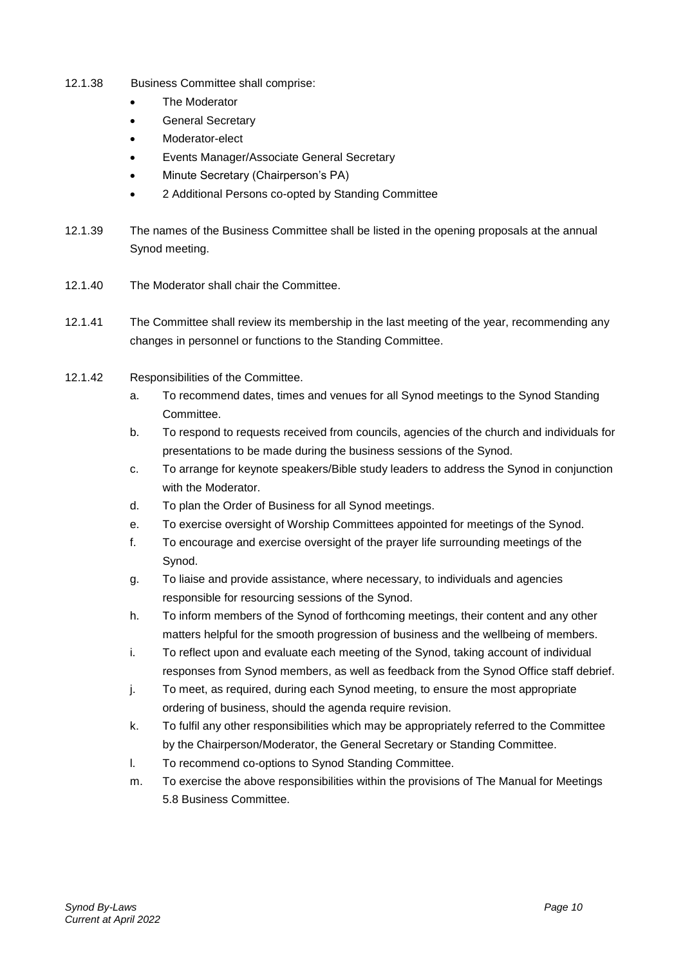- 12.1.38 Business Committee shall comprise:
	- The Moderator
	- General Secretary
	- Moderator-elect
	- Events Manager/Associate General Secretary
	- Minute Secretary (Chairperson's PA)
	- 2 Additional Persons co-opted by Standing Committee
- 12.1.39 The names of the Business Committee shall be listed in the opening proposals at the annual Synod meeting.
- 12.1.40 The Moderator shall chair the Committee.
- 12.1.41 The Committee shall review its membership in the last meeting of the year, recommending any changes in personnel or functions to the Standing Committee.
- 12.1.42 Responsibilities of the Committee.
	- a. To recommend dates, times and venues for all Synod meetings to the Synod Standing Committee.
	- b. To respond to requests received from councils, agencies of the church and individuals for presentations to be made during the business sessions of the Synod.
	- c. To arrange for keynote speakers/Bible study leaders to address the Synod in conjunction with the Moderator
	- d. To plan the Order of Business for all Synod meetings.
	- e. To exercise oversight of Worship Committees appointed for meetings of the Synod.
	- f. To encourage and exercise oversight of the prayer life surrounding meetings of the Synod.
	- g. To liaise and provide assistance, where necessary, to individuals and agencies responsible for resourcing sessions of the Synod.
	- h. To inform members of the Synod of forthcoming meetings, their content and any other matters helpful for the smooth progression of business and the wellbeing of members.
	- i. To reflect upon and evaluate each meeting of the Synod, taking account of individual responses from Synod members, as well as feedback from the Synod Office staff debrief.
	- j. To meet, as required, during each Synod meeting, to ensure the most appropriate ordering of business, should the agenda require revision.
	- k. To fulfil any other responsibilities which may be appropriately referred to the Committee by the Chairperson/Moderator, the General Secretary or Standing Committee.
	- l. To recommend co-options to Synod Standing Committee.
	- m. To exercise the above responsibilities within the provisions of The Manual for Meetings 5.8 Business Committee.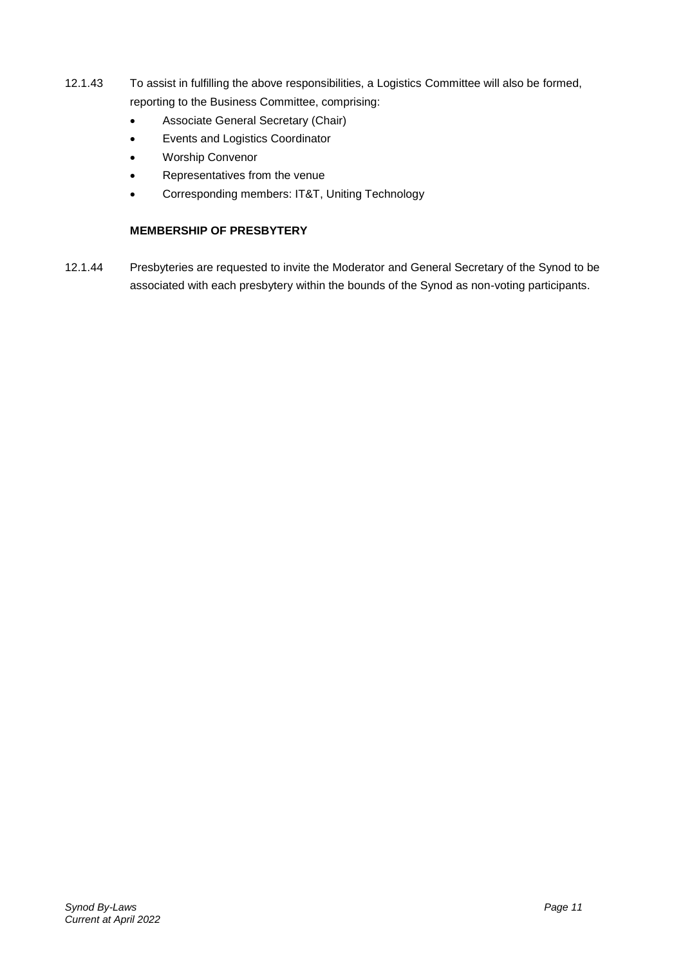- 12.1.43 To assist in fulfilling the above responsibilities, a Logistics Committee will also be formed, reporting to the Business Committee, comprising:
	- Associate General Secretary (Chair)
	- Events and Logistics Coordinator
	- Worship Convenor
	- Representatives from the venue
	- Corresponding members: IT&T, Uniting Technology

### **MEMBERSHIP OF PRESBYTERY**

12.1.44 Presbyteries are requested to invite the Moderator and General Secretary of the Synod to be associated with each presbytery within the bounds of the Synod as non-voting participants.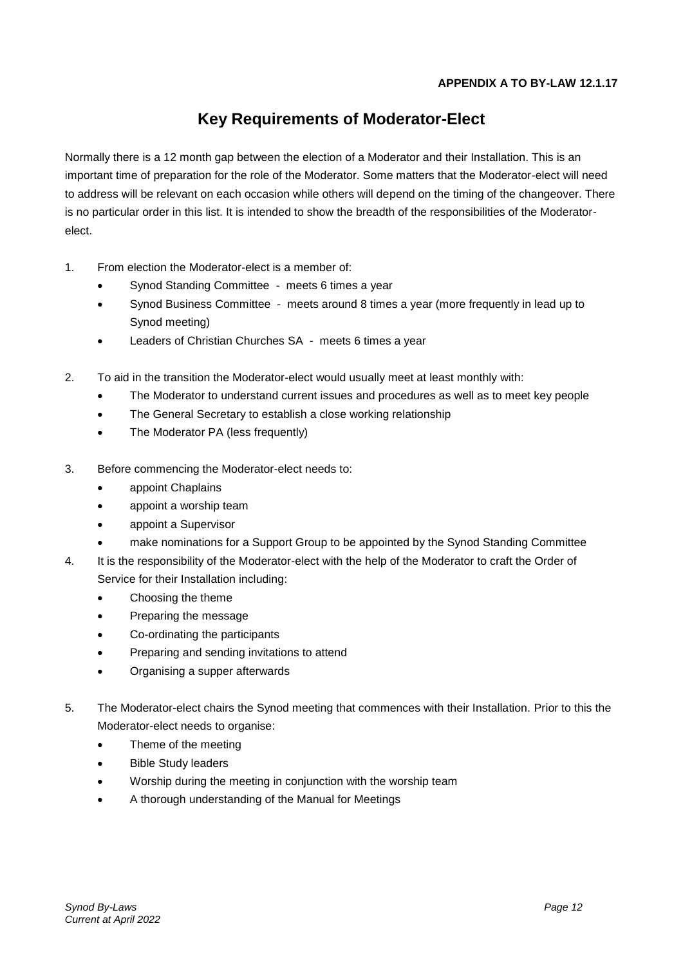## **Key Requirements of Moderator-Elect**

Normally there is a 12 month gap between the election of a Moderator and their Installation. This is an important time of preparation for the role of the Moderator. Some matters that the Moderator-elect will need to address will be relevant on each occasion while others will depend on the timing of the changeover. There is no particular order in this list. It is intended to show the breadth of the responsibilities of the Moderatorelect.

- 1. From election the Moderator-elect is a member of:
	- Synod Standing Committee meets 6 times a year
	- Synod Business Committee meets around 8 times a year (more frequently in lead up to Synod meeting)
	- Leaders of Christian Churches SA meets 6 times a year
- 2. To aid in the transition the Moderator-elect would usually meet at least monthly with:
	- The Moderator to understand current issues and procedures as well as to meet key people
	- The General Secretary to establish a close working relationship
	- The Moderator PA (less frequently)
- 3. Before commencing the Moderator-elect needs to:
	- appoint Chaplains
	- appoint a worship team
	- appoint a Supervisor
	- make nominations for a Support Group to be appointed by the Synod Standing Committee
- 4. It is the responsibility of the Moderator-elect with the help of the Moderator to craft the Order of Service for their Installation including:
	- Choosing the theme
	- Preparing the message
	- Co-ordinating the participants
	- Preparing and sending invitations to attend
	- Organising a supper afterwards
- 5. The Moderator-elect chairs the Synod meeting that commences with their Installation. Prior to this the Moderator-elect needs to organise:
	- Theme of the meeting
	- Bible Study leaders
	- Worship during the meeting in conjunction with the worship team
	- A thorough understanding of the Manual for Meetings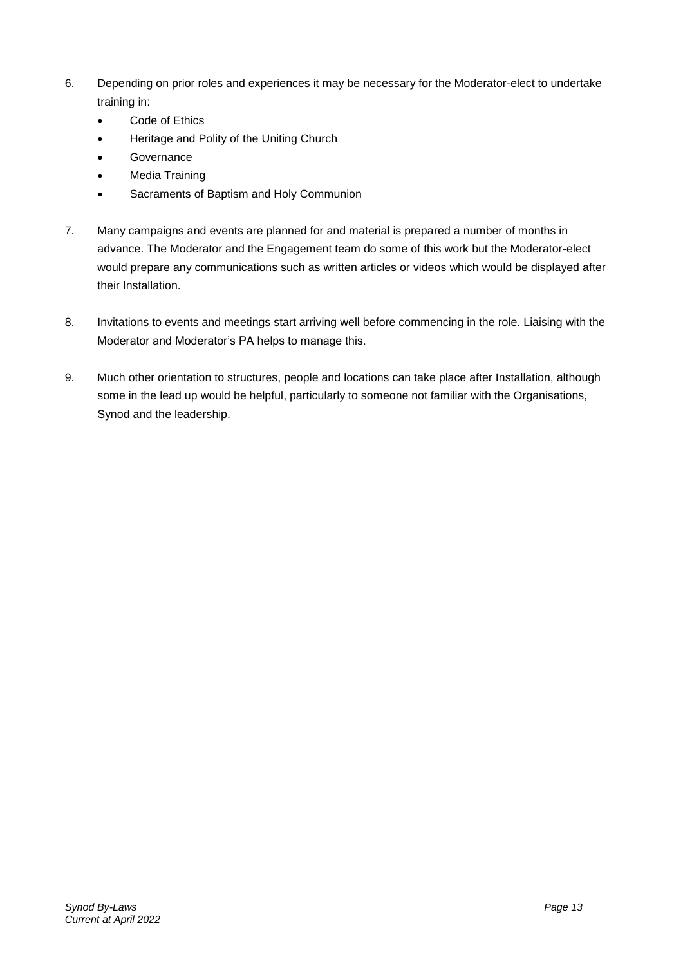- 6. Depending on prior roles and experiences it may be necessary for the Moderator-elect to undertake training in:
	- Code of Ethics
	- Heritage and Polity of the Uniting Church
	- **Governance**
	- Media Training
	- Sacraments of Baptism and Holy Communion
- 7. Many campaigns and events are planned for and material is prepared a number of months in advance. The Moderator and the Engagement team do some of this work but the Moderator-elect would prepare any communications such as written articles or videos which would be displayed after their Installation.
- 8. Invitations to events and meetings start arriving well before commencing in the role. Liaising with the Moderator and Moderator's PA helps to manage this.
- 9. Much other orientation to structures, people and locations can take place after Installation, although some in the lead up would be helpful, particularly to someone not familiar with the Organisations, Synod and the leadership.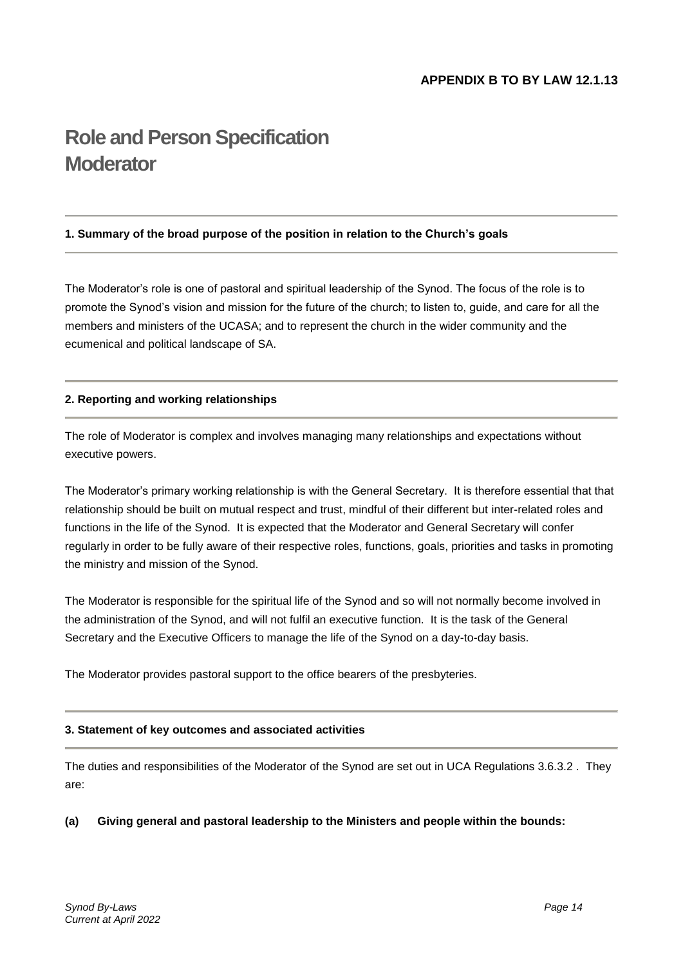# **Role and Person Specification Moderator**

#### **1. Summary of the broad purpose of the position in relation to the Church's goals**

The Moderator's role is one of pastoral and spiritual leadership of the Synod. The focus of the role is to promote the Synod's vision and mission for the future of the church; to listen to, guide, and care for all the members and ministers of the UCASA; and to represent the church in the wider community and the ecumenical and political landscape of SA.

#### **2. Reporting and working relationships**

The role of Moderator is complex and involves managing many relationships and expectations without executive powers.

The Moderator's primary working relationship is with the General Secretary. It is therefore essential that that relationship should be built on mutual respect and trust, mindful of their different but inter-related roles and functions in the life of the Synod. It is expected that the Moderator and General Secretary will confer regularly in order to be fully aware of their respective roles, functions, goals, priorities and tasks in promoting the ministry and mission of the Synod.

The Moderator is responsible for the spiritual life of the Synod and so will not normally become involved in the administration of the Synod, and will not fulfil an executive function. It is the task of the General Secretary and the Executive Officers to manage the life of the Synod on a day-to-day basis.

The Moderator provides pastoral support to the office bearers of the presbyteries.

#### **3. Statement of key outcomes and associated activities**

The duties and responsibilities of the Moderator of the Synod are set out in UCA Regulations 3.6.3.2 . They are:

#### **(a) Giving general and pastoral leadership to the Ministers and people within the bounds:**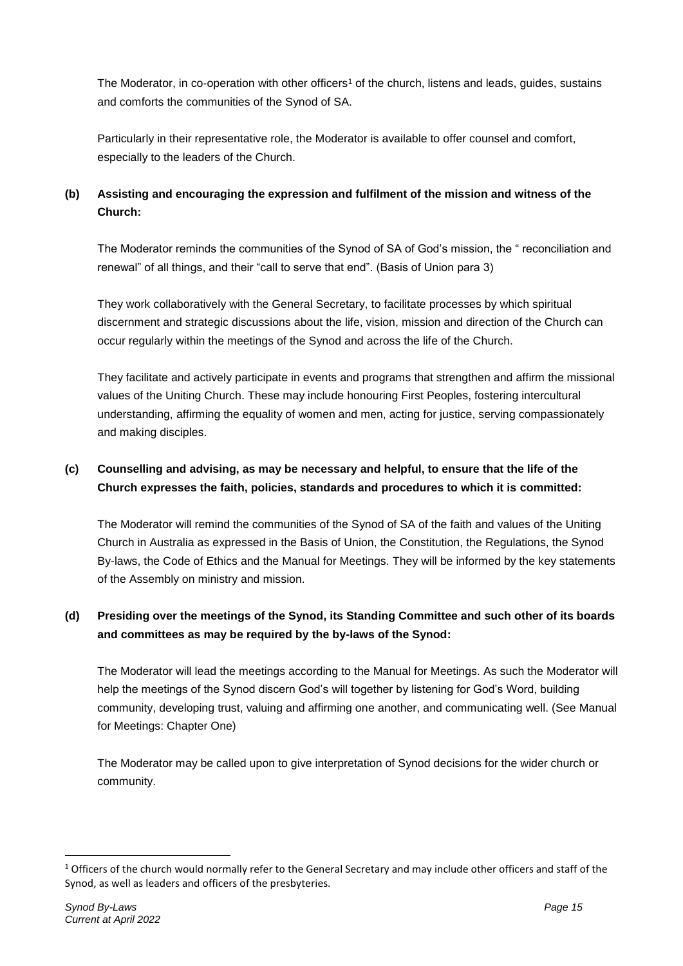The Moderator, in co-operation with other officers<sup>1</sup> of the church, listens and leads, guides, sustains and comforts the communities of the Synod of SA.

Particularly in their representative role, the Moderator is available to offer counsel and comfort, especially to the leaders of the Church.

## **(b) Assisting and encouraging the expression and fulfilment of the mission and witness of the Church:**

The Moderator reminds the communities of the Synod of SA of God's mission, the " reconciliation and renewal" of all things, and their "call to serve that end". (Basis of Union para 3)

They work collaboratively with the General Secretary, to facilitate processes by which spiritual discernment and strategic discussions about the life, vision, mission and direction of the Church can occur regularly within the meetings of the Synod and across the life of the Church.

They facilitate and actively participate in events and programs that strengthen and affirm the missional values of the Uniting Church. These may include honouring First Peoples, fostering intercultural understanding, affirming the equality of women and men, acting for justice, serving compassionately and making disciples.

## **(c) Counselling and advising, as may be necessary and helpful, to ensure that the life of the Church expresses the faith, policies, standards and procedures to which it is committed:**

The Moderator will remind the communities of the Synod of SA of the faith and values of the Uniting Church in Australia as expressed in the Basis of Union, the Constitution, the Regulations, the Synod By-laws, the Code of Ethics and the Manual for Meetings. They will be informed by the key statements of the Assembly on ministry and mission.

## **(d) Presiding over the meetings of the Synod, its Standing Committee and such other of its boards and committees as may be required by the by-laws of the Synod:**

The Moderator will lead the meetings according to the Manual for Meetings. As such the Moderator will help the meetings of the Synod discern God's will together by listening for God's Word, building community, developing trust, valuing and affirming one another, and communicating well. (See Manual for Meetings: Chapter One)

The Moderator may be called upon to give interpretation of Synod decisions for the wider church or community.

<u>.</u>

<sup>&</sup>lt;sup>1</sup> Officers of the church would normally refer to the General Secretary and may include other officers and staff of the Synod, as well as leaders and officers of the presbyteries.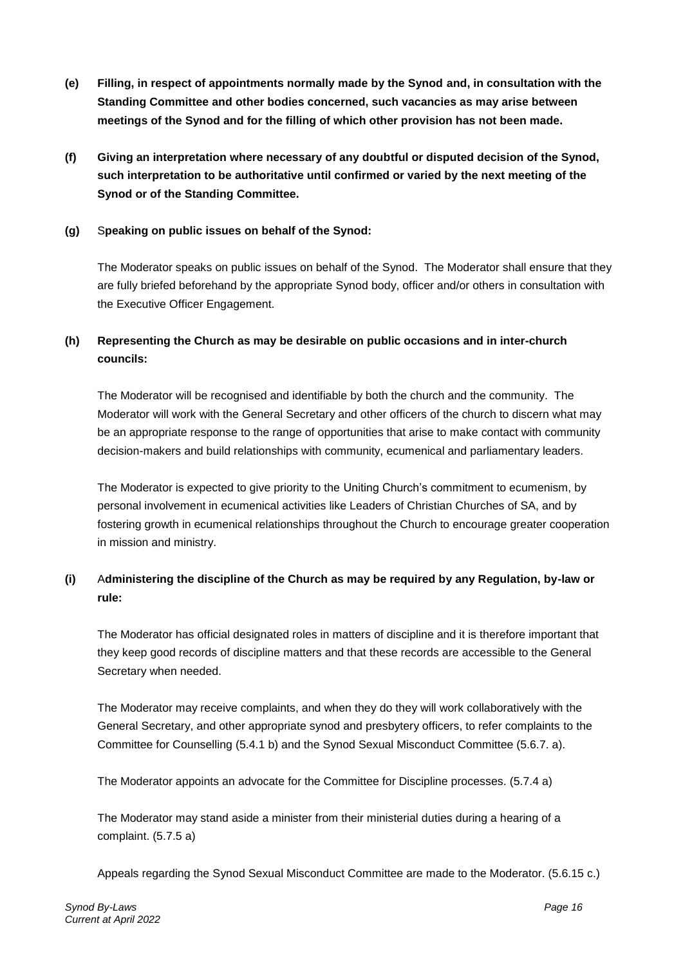- **(e) Filling, in respect of appointments normally made by the Synod and, in consultation with the Standing Committee and other bodies concerned, such vacancies as may arise between meetings of the Synod and for the filling of which other provision has not been made.**
- **(f) Giving an interpretation where necessary of any doubtful or disputed decision of the Synod, such interpretation to be authoritative until confirmed or varied by the next meeting of the Synod or of the Standing Committee.**

#### **(g)** S**peaking on public issues on behalf of the Synod:**

The Moderator speaks on public issues on behalf of the Synod. The Moderator shall ensure that they are fully briefed beforehand by the appropriate Synod body, officer and/or others in consultation with the Executive Officer Engagement.

## **(h) Representing the Church as may be desirable on public occasions and in inter-church councils:**

The Moderator will be recognised and identifiable by both the church and the community. The Moderator will work with the General Secretary and other officers of the church to discern what may be an appropriate response to the range of opportunities that arise to make contact with community decision-makers and build relationships with community, ecumenical and parliamentary leaders.

The Moderator is expected to give priority to the Uniting Church's commitment to ecumenism, by personal involvement in ecumenical activities like Leaders of Christian Churches of SA, and by fostering growth in ecumenical relationships throughout the Church to encourage greater cooperation in mission and ministry.

## **(i)** A**dministering the discipline of the Church as may be required by any Regulation, by-law or rule:**

The Moderator has official designated roles in matters of discipline and it is therefore important that they keep good records of discipline matters and that these records are accessible to the General Secretary when needed.

The Moderator may receive complaints, and when they do they will work collaboratively with the General Secretary, and other appropriate synod and presbytery officers, to refer complaints to the Committee for Counselling (5.4.1 b) and the Synod Sexual Misconduct Committee (5.6.7. a).

The Moderator appoints an advocate for the Committee for Discipline processes. (5.7.4 a)

The Moderator may stand aside a minister from their ministerial duties during a hearing of a complaint. (5.7.5 a)

Appeals regarding the Synod Sexual Misconduct Committee are made to the Moderator. (5.6.15 c.)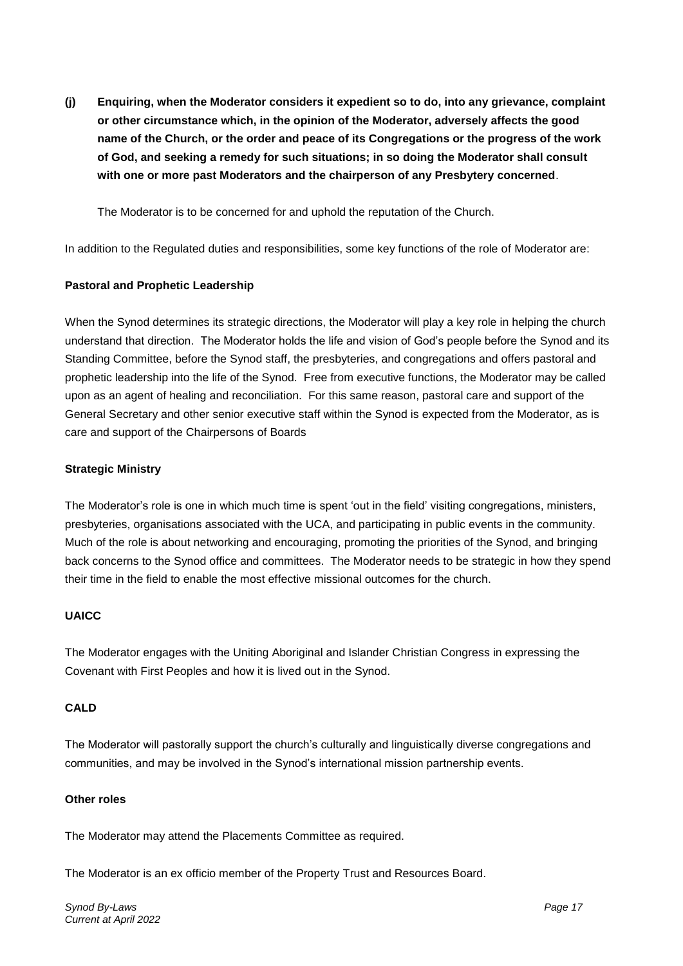**(j) Enquiring, when the Moderator considers it expedient so to do, into any grievance, complaint or other circumstance which, in the opinion of the Moderator, adversely affects the good name of the Church, or the order and peace of its Congregations or the progress of the work of God, and seeking a remedy for such situations; in so doing the Moderator shall consult with one or more past Moderators and the chairperson of any Presbytery concerned**.

The Moderator is to be concerned for and uphold the reputation of the Church.

In addition to the Regulated duties and responsibilities, some key functions of the role of Moderator are:

#### **Pastoral and Prophetic Leadership**

When the Synod determines its strategic directions, the Moderator will play a key role in helping the church understand that direction. The Moderator holds the life and vision of God's people before the Synod and its Standing Committee, before the Synod staff, the presbyteries, and congregations and offers pastoral and prophetic leadership into the life of the Synod. Free from executive functions, the Moderator may be called upon as an agent of healing and reconciliation. For this same reason, pastoral care and support of the General Secretary and other senior executive staff within the Synod is expected from the Moderator, as is care and support of the Chairpersons of Boards

#### **Strategic Ministry**

The Moderator's role is one in which much time is spent 'out in the field' visiting congregations, ministers, presbyteries, organisations associated with the UCA, and participating in public events in the community. Much of the role is about networking and encouraging, promoting the priorities of the Synod, and bringing back concerns to the Synod office and committees. The Moderator needs to be strategic in how they spend their time in the field to enable the most effective missional outcomes for the church.

#### **UAICC**

The Moderator engages with the Uniting Aboriginal and Islander Christian Congress in expressing the Covenant with First Peoples and how it is lived out in the Synod.

#### **CALD**

The Moderator will pastorally support the church's culturally and linguistically diverse congregations and communities, and may be involved in the Synod's international mission partnership events.

#### **Other roles**

The Moderator may attend the Placements Committee as required.

The Moderator is an ex officio member of the Property Trust and Resources Board.

*Synod By-Laws Page 17 Current at April 2022*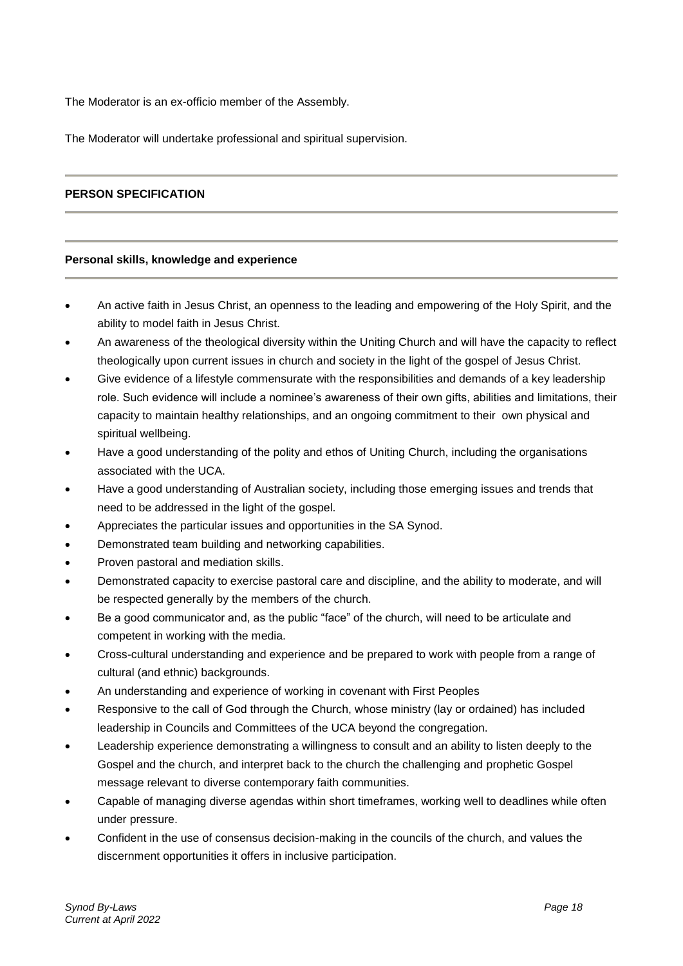The Moderator is an ex-officio member of the Assembly.

The Moderator will undertake professional and spiritual supervision.

#### **PERSON SPECIFICATION**

#### **Personal skills, knowledge and experience**

- An active faith in Jesus Christ, an openness to the leading and empowering of the Holy Spirit, and the ability to model faith in Jesus Christ.
- An awareness of the theological diversity within the Uniting Church and will have the capacity to reflect theologically upon current issues in church and society in the light of the gospel of Jesus Christ.
- Give evidence of a lifestyle commensurate with the responsibilities and demands of a key leadership role. Such evidence will include a nominee's awareness of their own gifts, abilities and limitations, their capacity to maintain healthy relationships, and an ongoing commitment to their own physical and spiritual wellbeing.
- Have a good understanding of the polity and ethos of Uniting Church, including the organisations associated with the UCA.
- Have a good understanding of Australian society, including those emerging issues and trends that need to be addressed in the light of the gospel.
- Appreciates the particular issues and opportunities in the SA Synod.
- Demonstrated team building and networking capabilities.
- Proven pastoral and mediation skills.
- Demonstrated capacity to exercise pastoral care and discipline, and the ability to moderate, and will be respected generally by the members of the church.
- Be a good communicator and, as the public "face" of the church, will need to be articulate and competent in working with the media.
- Cross-cultural understanding and experience and be prepared to work with people from a range of cultural (and ethnic) backgrounds.
- An understanding and experience of working in covenant with First Peoples
- Responsive to the call of God through the Church, whose ministry (lay or ordained) has included leadership in Councils and Committees of the UCA beyond the congregation.
- Leadership experience demonstrating a willingness to consult and an ability to listen deeply to the Gospel and the church, and interpret back to the church the challenging and prophetic Gospel message relevant to diverse contemporary faith communities.
- Capable of managing diverse agendas within short timeframes, working well to deadlines while often under pressure.
- Confident in the use of consensus decision-making in the councils of the church, and values the discernment opportunities it offers in inclusive participation.